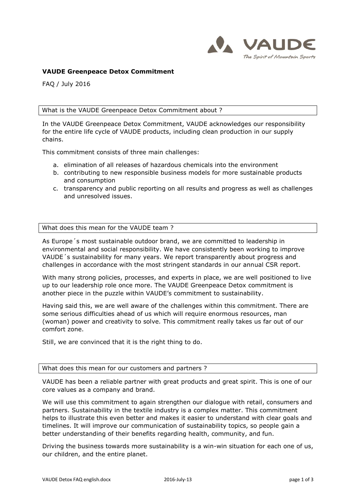

# **VAUDE Greenpeace Detox Commitment**

FAQ / July 2016

## What is the VAUDE Greenpeace Detox Commitment about ?

In the VAUDE Greenpeace Detox Commitment, VAUDE acknowledges our responsibility for the entire life cycle of VAUDE products, including clean production in our supply chains.

This commitment consists of three main challenges:

- a. elimination of all releases of hazardous chemicals into the environment
- b. contributing to new responsible business models for more sustainable products and consumption
- c. transparency and public reporting on all results and progress as well as challenges and unresolved issues.

## What does this mean for the VAUDE team ?

As Europe´s most sustainable outdoor brand, we are committed to leadership in environmental and social responsibility. We have consistently been working to improve VAUDE´s sustainability for many years. We report transparently about progress and challenges in accordance with the most stringent standards in our annual CSR report.

With many strong policies, processes, and experts in place, we are well positioned to live up to our leadership role once more. The VAUDE Greenpeace Detox commitment is another piece in the puzzle within VAUDE's commitment to sustainability.

Having said this, we are well aware of the challenges within this commitment. There are some serious difficulties ahead of us which will require enormous resources, man (woman) power and creativity to solve. This commitment really takes us far out of our comfort zone.

Still, we are convinced that it is the right thing to do.

#### What does this mean for our customers and partners ?

VAUDE has been a reliable partner with great products and great spirit. This is one of our core values as a company and brand.

We will use this commitment to again strengthen our dialogue with retail, consumers and partners. Sustainability in the textile industry is a complex matter. This commitment helps to illustrate this even better and makes it easier to understand with clear goals and timelines. It will improve our communication of sustainability topics, so people gain a better understanding of their benefits regarding health, community, and fun.

Driving the business towards more sustainability is a win-win situation for each one of us, our children, and the entire planet.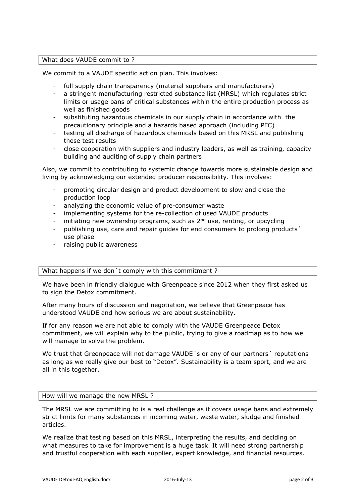# What does VAUDE commit to ?

We commit to a VAUDE specific action plan. This involves:

- full supply chain transparency (material suppliers and manufacturers)
- a stringent manufacturing restricted substance list (MRSL) which regulates strict limits or usage bans of critical substances within the entire production process as well as finished goods
- substituting hazardous chemicals in our supply chain in accordance with the precautionary principle and a hazards based approach (including PFC)
- testing all discharge of hazardous chemicals based on this MRSL and publishing these test results
- close cooperation with suppliers and industry leaders, as well as training, capacity building and auditing of supply chain partners

Also, we commit to contributing to systemic change towards more sustainable design and living by acknowledging our extended producer responsibility. This involves:

- promoting circular design and product development to slow and close the production loop
- analyzing the economic value of pre-consumer waste
- implementing systems for the re-collection of used VAUDE products
- initiating new ownership programs, such as  $2<sup>nd</sup>$  use, renting, or upcycling
- publishing use, care and repair guides for end consumers to prolong products' use phase
- raising public awareness

## What happens if we don´t comply with this commitment ?

We have been in friendly dialogue with Greenpeace since 2012 when they first asked us to sign the Detox commitment.

After many hours of discussion and negotiation, we believe that Greenpeace has understood VAUDE and how serious we are about sustainability.

If for any reason we are not able to comply with the VAUDE Greenpeace Detox commitment, we will explain why to the public, trying to give a roadmap as to how we will manage to solve the problem.

We trust that Greenpeace will not damage VAUDE's or any of our partners' reputations as long as we really give our best to "Detox". Sustainability is a team sport, and we are all in this together.

## How will we manage the new MRSL ?

The MRSL we are committing to is a real challenge as it covers usage bans and extremely strict limits for many substances in incoming water, waste water, sludge and finished articles.

We realize that testing based on this MRSL, interpreting the results, and deciding on what measures to take for improvement is a huge task. It will need strong partnership and trustful cooperation with each supplier, expert knowledge, and financial resources.